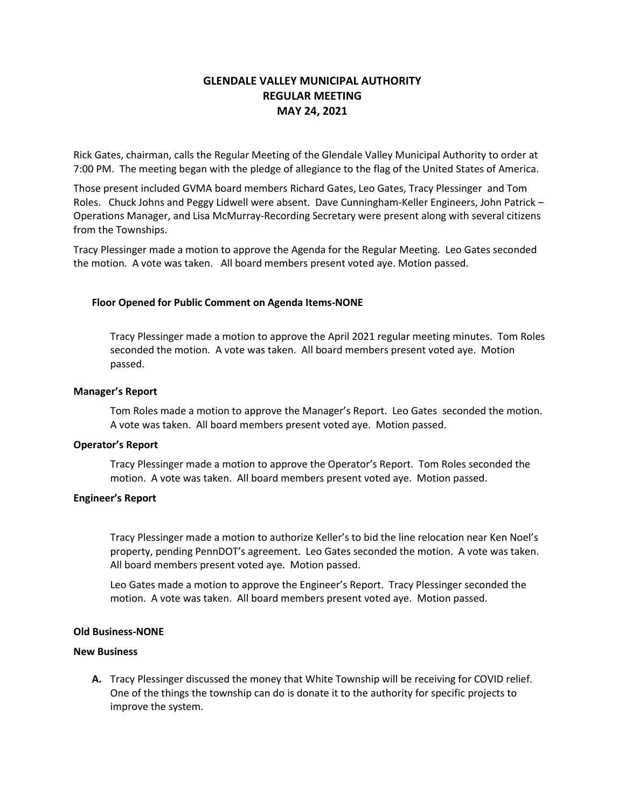# **GLENDALE VALLEY MUNICIPAL AUTHORITY REGULAR MEETING MAY 24, 2021**

Rick Gates, chairman, calls the Regular Meeting of the Glendale Valley Municipal Authority to order at 7:00 PM. The meeting began with the pledge of allegiance to the flag of the United States of America.

Those present included GVMA board members Richard Gates, Leo Gates, Tracy Plessinger and Tom Roles. Chuck Johns and Peggy Lidwell were absent. Dave Cunningham-Keller Engineers, John Patrick – Operations Manager, and Lisa McMurray-Recording Secretary were present along with several citizens from the Townships.

Tracy Plessinger made a motion to approve the Agenda for the Regular Meeting. Leo Gates seconded the motion. A vote was taken. All board members present voted aye. Motion passed.

# **Floor Opened for Public Comment on Agenda Items-NONE**

Tracy Plessinger made a motion to approve the April 2021 regular meeting minutes. Tom Roles seconded the motion. A vote was taken. All board members present voted aye. Motion passed.

#### **Manager's Report**

Tom Roles made a motion to approve the Manager's Report. Leo Gates seconded the motion. A vote was taken. All board members present voted aye. Motion passed.

## **Operator's Report**

Tracy Plessinger made a motion to approve the Operator's Report. Tom Roles seconded the motion. A vote was taken. All board members present voted aye. Motion passed.

#### **Engineer's Report**

Tracy Plessinger made a motion to authorize Keller's to bid the line relocation near Ken Noel's property, pending PennDOT's agreement. Leo Gates seconded the motion. A vote was taken. All board members present voted aye. Motion passed.

Leo Gates made a motion to approve the Engineer's Report. Tracy Plessinger seconded the motion. A vote was taken. All board members present voted aye. Motion passed.

## **Old Business-NONE**

# **New Business**

**A.** Tracy Plessinger discussed the money that White Township will be receiving for COVID relief. One of the things the township can do is donate it to the authority for specific projects to improve the system.